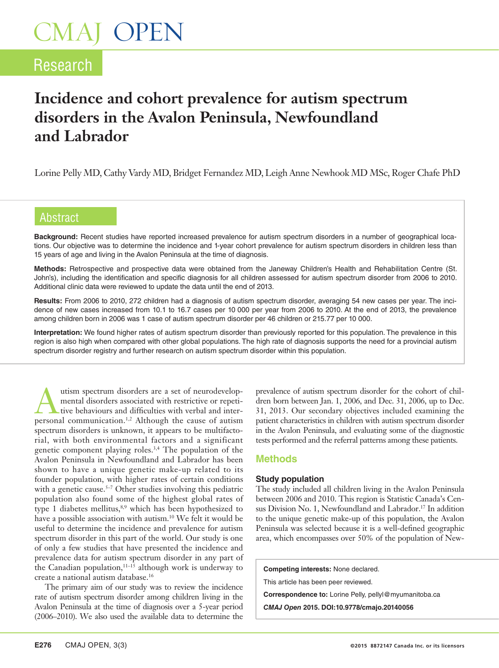# CMAJ OPEN

# Research

# **Incidence and cohort prevalence for autism spectrum disorders in the Avalon Peninsula, Newfoundland and Labrador**

Lorine Pelly MD, Cathy Vardy MD, Bridget Fernandez MD, Leigh Anne Newhook MD MSc, Roger Chafe PhD

# Abstract

**Background:** Recent studies have reported increased prevalence for autism spectrum disorders in a number of geographical locations. Our objective was to determine the incidence and 1-year cohort prevalence for autism spectrum disorders in children less than 15 years of age and living in the Avalon Peninsula at the time of diagnosis.

**Methods:** Retrospective and prospective data were obtained from the Janeway Children's Health and Rehabilitation Centre (St. John's), including the identification and specific diagnosis for all children assessed for autism spectrum disorder from 2006 to 2010. Additional clinic data were reviewed to update the data until the end of 2013.

**Results:** From 2006 to 2010, 272 children had a diagnosis of autism spectrum disorder, averaging 54 new cases per year. The incidence of new cases increased from 10.1 to 16.7 cases per 10 000 per year from 2006 to 2010. At the end of 2013, the prevalence among children born in 2006 was 1 case of autism spectrum disorder per 46 children or 215.77 per 10 000.

**Interpretation:** We found higher rates of autism spectrum disorder than previously reported for this population. The prevalence in this region is also high when compared with other global populations. The high rate of diagnosis supports the need for a provincial autism spectrum disorder registry and further research on autism spectrum disorder within this population.

The utism spectrum disorders are a set of neurodevelop-<br>
tive behaviours and difficulties with verbal and inter-<br>
percond communication  $\frac{12}{5}$  Although the cause of qutism mental disorders associated with restrictive or repetipersonal communication.1,2 Although the cause of autism spectrum disorders is unknown, it appears to be multifactorial, with both environmental factors and a significant genetic component playing roles.3,4 The population of the Avalon Peninsula in Newfoundland and Labrador has been shown to have a unique genetic make-up related to its founder population, with higher rates of certain conditions with a genetic cause.5–7 Other studies involving this pediatric population also found some of the highest global rates of type 1 diabetes mellitus,<sup>8,9</sup> which has been hypothesized to have a possible association with autism.10 We felt it would be useful to determine the incidence and prevalence for autism spectrum disorder in this part of the world. Our study is one of only a few studies that have presented the incidence and prevalence data for autism spectrum disorder in any part of the Canadian population,  $11-15$  although work is underway to create a national autism database.16

The primary aim of our study was to review the incidence rate of autism spectrum disorder among children living in the Avalon Peninsula at the time of diagnosis over a 5-year period (2006–2010). We also used the available data to determine the

prevalence of autism spectrum disorder for the cohort of children born between Jan. 1, 2006, and Dec. 31, 2006, up to Dec. 31, 2013. Our secondary objectives included examining the patient characteristics in children with autism spectrum disorder in the Avalon Peninsula, and evaluating some of the diagnostic tests performed and the referral patterns among these patients.

## **Methods**

### **Study population**

The study included all children living in the Avalon Peninsula between 2006 and 2010. This region is Statistic Canada's Census Division No. 1, Newfoundland and Labrador.<sup>17</sup> In addition to the unique genetic make-up of this population, the Avalon Peninsula was selected because it is a well-defined geographic area, which encompasses over 50% of the population of New-

**Competing interests:** None declared.

This article has been peer reviewed.

**Correspondence to:** Lorine Pelly, pellyl@myumanitoba.ca

*CMAJ Open* **2015. DOI:10.9778/cmajo.20140056**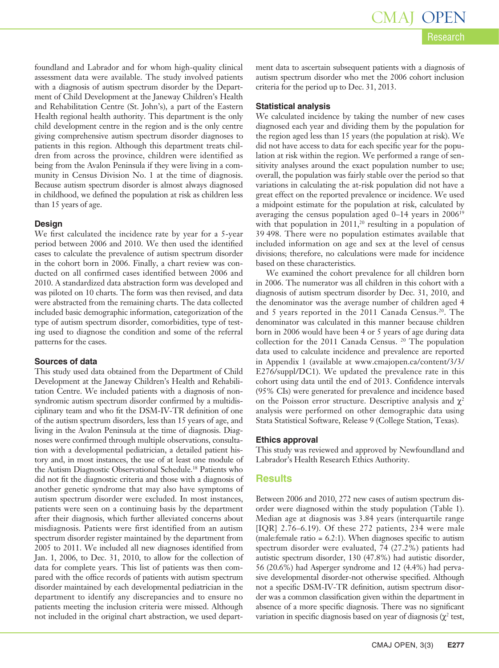Research CMAJ OPEN

foundland and Labrador and for whom high-quality clinical assessment data were available. The study involved patients with a diagnosis of autism spectrum disorder by the Department of Child Development at the Janeway Children's Health and Rehabilitation Centre (St. John's), a part of the Eastern Health regional health authority. This department is the only child development centre in the region and is the only centre giving comprehensive autism spectrum disorder diagnoses to patients in this region. Although this department treats children from across the province, children were identified as being from the Avalon Peninsula if they were living in a community in Census Division No. 1 at the time of diagnosis. Because autism spectrum disorder is almost always diagnosed in childhood, we defined the population at risk as children less than 15 years of age.

#### **Design**

We first calculated the incidence rate by year for a 5-year period between 2006 and 2010. We then used the identified cases to calculate the prevalence of autism spectrum disorder in the cohort born in 2006. Finally, a chart review was conducted on all confirmed cases identified between 2006 and 2010. A standardized data abstraction form was developed and was piloted on 10 charts. The form was then revised, and data were abstracted from the remaining charts. The data collected included basic demographic information, categorization of the type of autism spectrum disorder, comorbidities, type of testing used to diagnose the condition and some of the referral patterns for the cases.

#### **Sources of data**

This study used data obtained from the Department of Child Development at the Janeway Children's Health and Rehabilitation Centre. We included patients with a diagnosis of nonsyndromic autism spectrum disorder confirmed by a multidisciplinary team and who fit the DSM-IV-TR definition of one of the autism spectrum disorders, less than 15 years of age, and living in the Avalon Peninsula at the time of diagnosis. Diagnoses were confirmed through multiple observations, consultation with a developmental pediatrician, a detailed patient history and, in most instances, the use of at least one module of the Autism Diagnostic Observational Schedule.18 Patients who did not fit the diagnostic criteria and those with a diagnosis of another genetic syndrome that may also have symptoms of autism spectrum disorder were excluded. In most instances, patients were seen on a continuing basis by the department after their diagnosis, which further alleviated concerns about misdiagnosis. Patients were first identified from an autism spectrum disorder register maintained by the department from 2005 to 2011. We included all new diagnoses identified from Jan. 1, 2006, to Dec. 31, 2010, to allow for the collection of data for complete years. This list of patients was then compared with the office records of patients with autism spectrum disorder maintained by each developmental pediatrician in the department to identify any discrepancies and to ensure no patients meeting the inclusion criteria were missed. Although not included in the original chart abstraction, we used department data to ascertain subsequent patients with a diagnosis of autism spectrum disorder who met the 2006 cohort inclusion criteria for the period up to Dec. 31, 2013.

#### **Statistical analysis**

We calculated incidence by taking the number of new cases diagnosed each year and dividing them by the population for the region aged less than 15 years (the population at risk). We did not have access to data for each specific year for the population at risk within the region. We performed a range of sensitivity analyses around the exact population number to use; overall, the population was fairly stable over the period so that variations in calculating the at-risk population did not have a great effect on the reported prevalence or incidence. We used a midpoint estimate for the population at risk, calculated by averaging the census population aged  $0-14$  years in  $2006^{19}$ with that population in  $2011$ ,<sup>20</sup> resulting in a population of 39 498. There were no population estimates available that included information on age and sex at the level of census divisions; therefore, no calculations were made for incidence based on these characteristics.

We examined the cohort prevalence for all children born in 2006. The numerator was all children in this cohort with a diagnosis of autism spectrum disorder by Dec. 31, 2010, and the denominator was the average number of children aged 4 and 5 years reported in the 2011 Canada Census.<sup>20</sup>. The denominator was calculated in this manner because children born in 2006 would have been 4 or 5 years of age during data collection for the 2011 Canada Census. 20 The population data used to calculate incidence and prevalence are reported in Appendix 1 (available at www.cmajopen.ca/content/3/3/ E276/suppl/DC1). We updated the prevalence rate in this cohort using data until the end of 2013. Confidence intervals (95% CIs) were generated for prevalence and incidence based on the Poisson error structure. Descriptive analysis and  $\chi^2$ analysis were performed on other demographic data using Stata Statistical Software, Release 9 (College Station, Texas).

#### **Ethics approval**

This study was reviewed and approved by Newfoundland and Labrador's Health Research Ethics Authority.

#### **Results**

Between 2006 and 2010, 272 new cases of autism spectrum disorder were diagnosed within the study population (Table 1). Median age at diagnosis was 3.84 years (interquartile range [IQR] 2.76–6.19). Of these 272 patients, 234 were male (male:female ratio = 6.2:1). When diagnoses specific to autism spectrum disorder were evaluated, 74 (27.2%) patients had autistic spectrum disorder, 130 (47.8%) had autistic disorder, 56 (20.6%) had Asperger syndrome and 12 (4.4%) had pervasive developmental disorder-not otherwise specified. Although not a specific DSM-IV-TR definition, autism spectrum disorder was a common classification given within the department in absence of a more specific diagnosis. There was no significant variation in specific diagnosis based on year of diagnosis  $(\chi^2 \text{ test}, \chi^2 \text{ test})$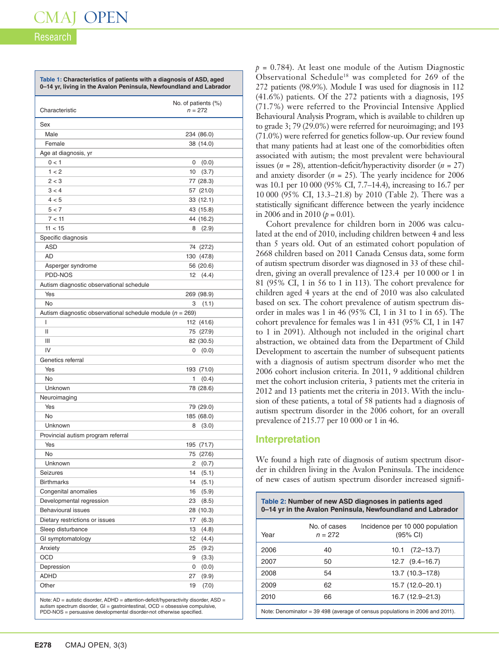# Research

| Characteristic                                                |                 | No. of patients (%)<br>$n = 272$ |
|---------------------------------------------------------------|-----------------|----------------------------------|
| Sex                                                           |                 |                                  |
| Male                                                          |                 | 234 (86.0)                       |
| Female                                                        |                 | 38 (14.0)                        |
| Age at diagnosis, yr                                          |                 |                                  |
| 0 < 1                                                         | 0               | (0.0)                            |
| 1 < 2                                                         | 10              | (3.7)                            |
| 2 < 3                                                         |                 | 77 (28.3)                        |
| 3 < 4                                                         |                 | 57 (21.0)                        |
| 4 < 5                                                         |                 | 33 (12.1)                        |
| 5 < 7                                                         |                 | 43 (15.8)                        |
| 7 < 11                                                        |                 | 44 (16.2)                        |
| 11 < 15                                                       | 8               | (2.9)                            |
| Specific diagnosis                                            |                 |                                  |
| <b>ASD</b>                                                    |                 | 74 (27.2)                        |
| AD                                                            |                 | 130 (47.8)                       |
| Asperger syndrome                                             |                 | 56 (20.6)                        |
| PDD-NOS                                                       | 12 <sup>°</sup> | (4.4)                            |
| Autism diagnostic observational schedule                      |                 |                                  |
| Yes                                                           |                 | 269 (98.9)                       |
| No                                                            | 3               | (1.1)                            |
| Autism diagnostic observational schedule module ( $n = 269$ ) |                 |                                  |
| T                                                             |                 | 112 (41.6)                       |
| Ш                                                             |                 | 75 (27.9)                        |
| Ш                                                             |                 | 82 (30.5)                        |
| IV                                                            | 0               | (0.0)                            |
| Genetics referral                                             |                 |                                  |
| Yes                                                           |                 | 193 (71.0)                       |
| No                                                            | 1               | (0.4)                            |
| Unknown                                                       |                 | 78 (28.6)                        |
| Neuroimaging                                                  |                 |                                  |
| Yes                                                           |                 | 79 (29.0)                        |
| <b>No</b>                                                     |                 | 185 (68.0)                       |
| Unknown                                                       | 8               | (3.0)                            |
| Provincial autism program referral                            |                 |                                  |
| Yes                                                           |                 | 195 (71.7)                       |
| No                                                            |                 | 75 (27.6)                        |
| Unknown                                                       | 2               | (0.7)                            |
| <b>Seizures</b>                                               | 14              | (5.1)                            |
| <b>Birthmarks</b>                                             | 14              | (5.1)                            |
| Congenital anomalies                                          | 16              | (5.9)                            |
| Developmental regression                                      | 23              | (8.5)                            |
| <b>Behavioural issues</b>                                     |                 | 28 (10.3)                        |
| Dietary restrictions or issues                                | 17              | (6.3)                            |
| Sleep disturbance                                             | 13              | (4.8)                            |
| GI symptomatology                                             | 12              | (4.4)                            |
| Anxiety                                                       | 25              | (9.2)                            |
| <b>OCD</b>                                                    | 9               | (3.3)                            |
| Depression                                                    | 0               | (0.0)                            |
| <b>ADHD</b>                                                   | 27              | (9.9)                            |
| Other                                                         | 19              | (7.0)                            |

autism spectrum disorder, GI = gastrointestinal, OCD = obsessive compulsive, PDD-NOS = persuasive developmental disorder-not otherwise specified.

 $p = 0.784$ ). At least one module of the Autism Diagnostic Observational Schedule18 was completed for 269 of the 272 patients (98.9%). Module I was used for diagnosis in 112 (41.6%) patients. Of the 272 patients with a diagnosis, 195 (71.7%) were referred to the Provincial Intensive Applied Behavioural Analysis Program, which is available to children up to grade 3; 79 (29.0%) were referred for neuroimaging; and 193 (71.0%) were referred for genetics follow-up. Our review found that many patients had at least one of the comorbidities often associated with autism; the most prevalent were behavioural issues (*n* = 28), attention-deficit/hyperactivity disorder (*n* = 27) and anxiety disorder  $(n = 25)$ . The yearly incidence for 2006 was 10.1 per 10 000 (95% CI, 7.7–14.4), increasing to 16.7 per 10 000 (95% CI, 13.3–21.8) by 2010 (Table 2). There was a statistically significant difference between the yearly incidence in 2006 and in 2010 ( $p = 0.01$ ).

Cohort prevalence for children born in 2006 was calculated at the end of 2010, including children between 4 and less than 5 years old. Out of an estimated cohort population of 2668 children based on 2011 Canada Census data, some form of autism spectrum disorder was diagnosed in 33 of these children, giving an overall prevalence of 123.4 per 10 000 or 1 in 81 (95% CI, 1 in 56 to 1 in 113). The cohort prevalence for children aged 4 years at the end of 2010 was also calculated based on sex. The cohort prevalence of autism spectrum disorder in males was 1 in 46 (95% CI, 1 in 31 to 1 in 65). The cohort prevalence for females was 1 in 431 (95% CI, 1 in 147 to 1 in 2091). Although not included in the original chart abstraction, we obtained data from the Department of Child Development to ascertain the number of subsequent patients with a diagnosis of autism spectrum disorder who met the 2006 cohort inclusion criteria. In 2011, 9 additional children met the cohort inclusion criteria, 3 patients met the criteria in 2012 and 13 patients met the criteria in 2013. With the inclusion of these patients, a total of 58 patients had a diagnosis of autism spectrum disorder in the 2006 cohort, for an overall prevalence of 215.77 per 10 000 or 1 in 46.

## **Interpretation**

We found a high rate of diagnosis of autism spectrum disorder in children living in the Avalon Peninsula. The incidence of new cases of autism spectrum disorder increased signifi-

| Table 2: Number of new ASD diagnoses in patients aged<br>0–14 yr in the Avalon Peninsula, Newfoundland and Labrador |                           |                                                       |  |
|---------------------------------------------------------------------------------------------------------------------|---------------------------|-------------------------------------------------------|--|
| Year                                                                                                                | No. of cases<br>$n = 272$ | Incidence per 10 000 population<br>$(95% \text{ Cl})$ |  |
| 2006                                                                                                                | 40                        | $10.1$ $(7.2-13.7)$                                   |  |
| 2007                                                                                                                | 50                        | $12.7$ $(9.4-16.7)$                                   |  |
| 2008                                                                                                                | 54                        | 13.7 (10.3-17.8)                                      |  |
| 2009                                                                                                                | 62                        | 15.7 (12.0-20.1)                                      |  |
| 2010                                                                                                                | 66                        | 16.7 (12.9-21.3)                                      |  |
| Note: Denominator = $39\,498$ (average of census populations in 2006 and 2011).                                     |                           |                                                       |  |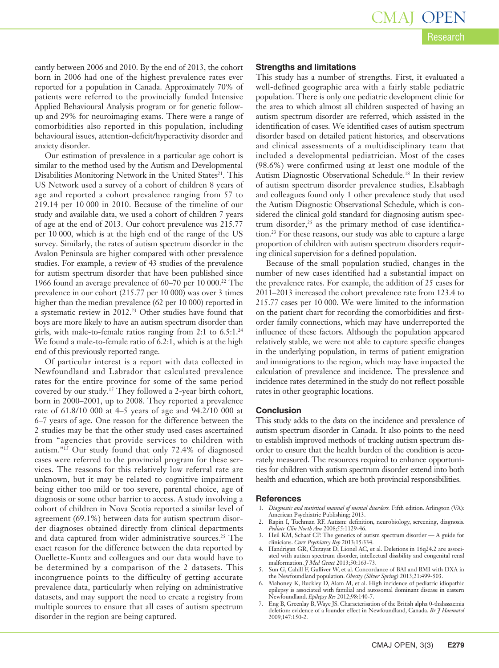cantly between 2006 and 2010. By the end of 2013, the cohort born in 2006 had one of the highest prevalence rates ever reported for a population in Canada. Approximately 70% of patients were referred to the provincially funded Intensive Applied Behavioural Analysis program or for genetic followup and 29% for neuroimaging exams. There were a range of comorbidities also reported in this population, including behavioural issues, attention-deficit/hyperactivity disorder and anxiety disorder.

Our estimation of prevalence in a particular age cohort is similar to the method used by the Autism and Developmental Disabilities Monitoring Network in the United States<sup>21</sup>. This US Network used a survey of a cohort of children 8 years of age and reported a cohort prevalence ranging from 57 to 219.14 per 10 000 in 2010. Because of the timeline of our study and available data, we used a cohort of children 7 years of age at the end of 2013. Our cohort prevalence was 215.77 per 10 000, which is at the high end of the range of the US survey. Similarly, the rates of autism spectrum disorder in the Avalon Peninsula are higher compared with other prevalence studies. For example, a review of 43 studies of the prevalence for autism spectrum disorder that have been published since 1966 found an average prevalence of 60–70 per 10 000.22 The prevalence in our cohort (215.77 per 10 000) was over 3 times higher than the median prevalence (62 per 10 000) reported in a systematic review in 2012.23 Other studies have found that boys are more likely to have an autism spectrum disorder than girls, with male-to-female ratios ranging from  $2:1$  to  $6.5:1.^{24}$ We found a male-to-female ratio of 6.2:1, which is at the high end of this previously reported range.

Of particular interest is a report with data collected in Newfoundland and Labrador that calculated prevalence rates for the entire province for some of the same period covered by our study.15 They followed a 2-year birth cohort, born in 2000–2001, up to 2008. They reported a prevalence rate of 61.8/10 000 at 4–5 years of age and 94.2/10 000 at 6–7 years of age. One reason for the difference between the 2 studies may be that the other study used cases ascertained from "agencies that provide services to children with autism."15 Our study found that only 72.4% of diagnosed cases were referred to the provincial program for these services. The reasons for this relatively low referral rate are unknown, but it may be related to cognitive impairment being either too mild or too severe, parental choice, age of diagnosis or some other barrier to access. A study involving a cohort of children in Nova Scotia reported a similar level of agreement (69.1%) between data for autism spectrum disorder diagnoses obtained directly from clinical departments and data captured from wider administrative sources.<sup>25</sup> The exact reason for the difference between the data reported by Ouellette-Kuntz and colleagues and our data would have to be determined by a comparison of the 2 datasets. This incongruence points to the difficulty of getting accurate prevalence data, particularly when relying on administrative datasets, and may support the need to create a registry from multiple sources to ensure that all cases of autism spectrum disorder in the region are being captured.

#### **Strengths and limitations**

This study has a number of strengths. First, it evaluated a well-defined geographic area with a fairly stable pediatric population. There is only one pediatric development clinic for the area to which almost all children suspected of having an autism spectrum disorder are referred, which assisted in the identification of cases. We identified cases of autism spectrum disorder based on detailed patient histories, and observations and clinical assessments of a multidisciplinary team that included a developmental pediatrician. Most of the cases (98.6%) were confirmed using at least one module of the Autism Diagnostic Observational Schedule.18 In their review of autism spectrum disorder prevalence studies, Elsabbagh and colleagues found only 1 other prevalence study that used the Autism Diagnostic Observational Schedule, which is considered the clinical gold standard for diagnosing autism spectrum disorder, $25$  as the primary method of case identification.23 For these reasons, our study was able to capture a large proportion of children with autism spectrum disorders requiring clinical supervision for a defined population.

Because of the small population studied, changes in the number of new cases identified had a substantial impact on the prevalence rates. For example, the addition of 25 cases for 2011–2013 increased the cohort prevalence rate from 123.4 to 215.77 cases per 10 000. We were limited to the information on the patient chart for recording the comorbidities and firstorder family connections, which may have underreported the influence of these factors. Although the population appeared relatively stable, we were not able to capture specific changes in the underlying population, in terms of patient emigration and immigrations to the region, which may have impacted the calculation of prevalence and incidence. The prevalence and incidence rates determined in the study do not reflect possible rates in other geographic locations.

#### **Conclusion**

This study adds to the data on the incidence and prevalence of autism spectrum disorder in Canada. It also points to the need to establish improved methods of tracking autism spectrum disorder to ensure that the health burden of the condition is accurately measured. The resources required to enhance opportunities for children with autism spectrum disorder extend into both health and education, which are both provincial responsibilities.

#### **References**

- 1. *Diagnostic and statistical manual of mental disorders.* Fifth edition. Arlington (VA): American Psychiatric Publishing; 2013.
- 2. Rapin I, Tuchman RF. Autism: definition, neurobiology, screening, diagnosis. *Pediatr Clin North Am* 2008;55:1129-46.
- 3. Heil KM, Schaaf CP. The genetics of autism spectrum disorder A guide for clinicians. *Curr Psychiatry Rep* 2013;15:334.
- 4. Handrigan GR, Chitayat D, Lionel AC, et al. Deletions in 16q24.2 are associated with autism spectrum disorder, intellectual disability and congenital renal malformation. *J Med Genet* 2013;50:163-73.<br>5. Sun G, Cahill F, Gulliver W, et al. Concordance of BAI and BMI with DXA in
- the Newfoundland population. *Obesity (Silver Spring)* 2013;21:499-503.
- 6. Mahoney K, Buckley D, Alam M, et al. High incidence of pediatric idiopathic epilepsy is associated with familial and autosomal dominant disease in eastern Newfoundland. *Epilepsy Res* 2012;98:140-7.
- 7. Eng B, Greenlay B, Waye JS. Characterisation of the British alpha 0-thalassaemia deletion: evidence of a founder effect in Newfoundland, Canada. *Br J Haematol* 2009;147:150-2.